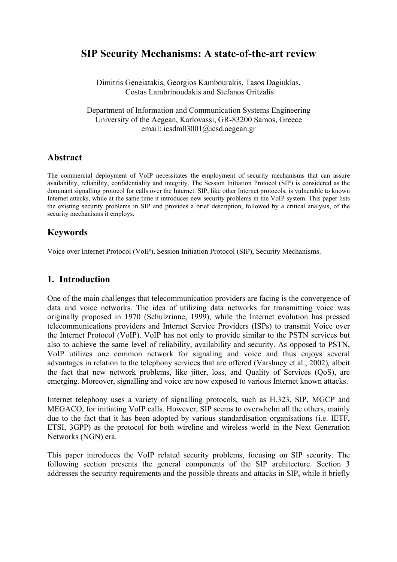# **SIP Security Mechanisms: A state-of-the-art review**

Dimitris Geneiatakis, Georgios Kambourakis, Tasos Dagiuklas, Costas Lambrinoudakis and Stefanos Gritzalis

Department of Information and Communication Systems Engineering University of the Aegean, Karlovassi, GR-83200 Samos, Greece email: icsdm03001@icsd.aegean.gr

## **Abstract**

The commercial deployment of VoIP necessitates the employment of security mechanisms that can assure availability, reliability, confidentiality and integrity. The Session Initiation Protocol (SIP) is considered as the dominant signalling protocol for calls over the Internet. SIP, like other Internet protocols, is vulnerable to known Internet attacks, while at the same time it introduces new security problems in the VoIP system. This paper lists the existing security problems in SIP and provides a brief description, followed by a critical analysis, of the security mechanisms it employs.

## **Keywords**

Voice over Internet Protocol (VoIP), Session Initiation Protocol (SIP), Security Mechanisms.

## **1. Introduction**

One of the main challenges that telecommunication providers are facing is the convergence of data and voice networks. The idea of utilizing data networks for transmitting voice was originally proposed in 1970 (Schulzrinne, 1999), while the Internet evolution has pressed telecommunications providers and Internet Service Providers (ISPs) to transmit Voice over the Internet Protocol (VoIP). VoIP has not only to provide similar to the PSTN services but also to achieve the same level of reliability, availability and security. As opposed to PSTN, VoIP utilizes one common network for signaling and voice and thus enjoys several advantages in relation to the telephony services that are offered (Varshney et al., 2002)*,* albeit the fact that new network problems, like jitter, loss, and Quality of Services (QoS), are emerging. Moreover, signalling and voice are now exposed to various Internet known attacks.

Internet telephony uses a variety of signalling protocols, such as H.323, SIP, MGCP and MEGACO, for initiating VoIP calls. However, SIP seems to overwhelm all the others, mainly due to the fact that it has been adopted by various standardisation organisations (i.e. IETF, ETSI, 3GPP) as the protocol for both wireline and wireless world in the Next Generation Networks (NGN) era.

This paper introduces the VoIP related security problems, focusing on SIP security. The following section presents the general components of the SIP architecture. Section 3 addresses the security requirements and the possible threats and attacks in SIP, while it briefly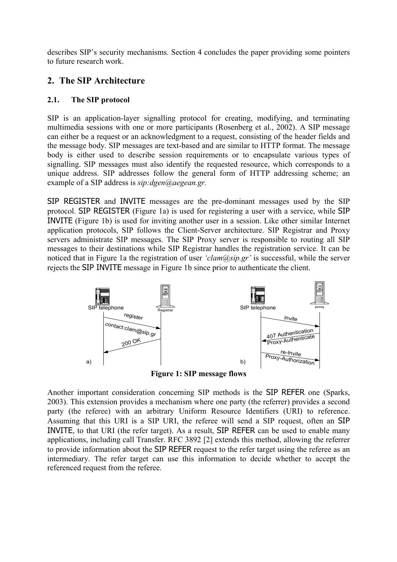describes SIP's security mechanisms. Section 4 concludes the paper providing some pointers to future research work.

## **2. The SIP Architecture**

### **2.1. The SIP protocol**

SIP is an application-layer signalling protocol for creating, modifying, and terminating multimedia sessions with one or more participants (Rosenberg et al., 2002). A SIP message can either be a request or an acknowledgment to a request, consisting of the header fields and the message body. SIP messages are text-based and are similar to HTTP format. The message body is either used to describe session requirements or to encapsulate various types of signalling. SIP messages must also identify the requested resource, which corresponds to a unique address. SIP addresses follow the general form of HTTP addressing scheme; an example of a SIP address is *sip:dgen@aegean.gr.*

SIP REGISTER and INVITE messages are the pre-dominant messages used by the SIP protocol. SIP REGISTER (Figure 1a) is used for registering a user with a service, while SIP INVITE (Figure 1b) is used for inviting another user in a session. Like other similar Internet application protocols, SIP follows the Client-Server architecture. SIP Registrar and Proxy servers administrate SIP messages. The SIP Proxy server is responsible to routing all SIP messages to their destinations while SIP Registrar handles the registration service. It can be noticed that in Figure 1a the registration of user *'clam@sip.gr'* is successful, while the server rejects the SIP INVITE message in Figure 1b since prior to authenticate the client.



**Figure 1: SIP message flows** 

Another important consideration concerning SIP methods is the SIP REFER one (Sparks, 2003). This extension provides a mechanism where one party (the referrer) provides a second party (the referee) with an arbitrary Uniform Resource Identifiers (URI) to reference. Assuming that this URI is a SIP URI, the referee will send a SIP request, often an SIP INVITE, to that URI (the refer target). As a result, SIP REFER can be used to enable many applications, including call Transfer. RFC 3892 [2] extends this method, allowing the referrer to provide information about the SIP REFER request to the refer target using the referee as an intermediary. The refer target can use this information to decide whether to accept the referenced request from the referee.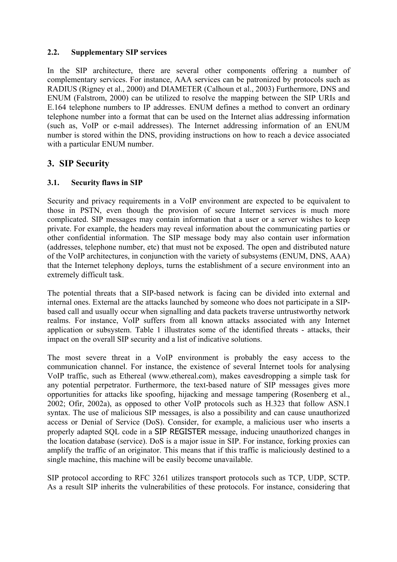### **2.2. Supplementary SIP services**

In the SIP architecture, there are several other components offering a number of complementary services. For instance, AAA services can be patronized by protocols such as RADIUS (Rigney et al., 2000) and DIAMETER (Calhoun et al., 2003) Furthermore, DNS and ENUM (Falstrom, 2000) can be utilized to resolve the mapping between the SIP URIs and E.164 telephone numbers to IP addresses. ENUM defines a method to convert an ordinary telephone number into a format that can be used on the Internet alias addressing information (such as, VoIP or e-mail addresses). The Internet addressing information of an ENUM number is stored within the DNS, providing instructions on how to reach a device associated with a particular ENUM number.

## **3. SIP Security**

### **3.1. Security flaws in SIP**

Security and privacy requirements in a VoIP environment are expected to be equivalent to those in PSTN, even though the provision of secure Internet services is much more complicated. SIP messages may contain information that a user or a server wishes to keep private. For example, the headers may reveal information about the communicating parties or other confidential information. The SIP message body may also contain user information (addresses, telephone number, etc) that must not be exposed. The open and distributed nature of the VoIP architectures, in conjunction with the variety of subsystems (ENUM, DNS, AAA) that the Internet telephony deploys, turns the establishment of a secure environment into an extremely difficult task.

The potential threats that a SIP-based network is facing can be divided into external and internal ones. External are the attacks launched by someone who does not participate in a SIPbased call and usually occur when signalling and data packets traverse untrustworthy network realms. For instance, VoIP suffers from all known attacks associated with any Internet application or subsystem. Table 1 illustrates some of the identified threats - attacks, their impact on the overall SIP security and a list of indicative solutions.

The most severe threat in a VoIP environment is probably the easy access to the communication channel. For instance, the existence of several Internet tools for analysing VoIP traffic, such as Ethereal (www.ethereal.com), makes eavesdropping a simple task for any potential perpetrator. Furthermore, the text-based nature of SIP messages gives more opportunities for attacks like spoofing, hijacking and message tampering (Rosenberg et al., 2002; Ofir, 2002a), as opposed to other VoIP protocols such as H.323 that follow ASN.1 syntax. The use of malicious SIP messages, is also a possibility and can cause unauthorized access or Denial of Service (DoS). Consider, for example, a malicious user who inserts a properly adapted SQL code in a SIP REGISTER message, inducing unauthorized changes in the location database (service). DoS is a major issue in SIP. For instance, forking proxies can amplify the traffic of an originator. This means that if this traffic is maliciously destined to a single machine, this machine will be easily become unavailable.

SIP protocol according to RFC 3261 utilizes transport protocols such as TCP, UDP, SCTP. As a result SIP inherits the vulnerabilities of these protocols. For instance, considering that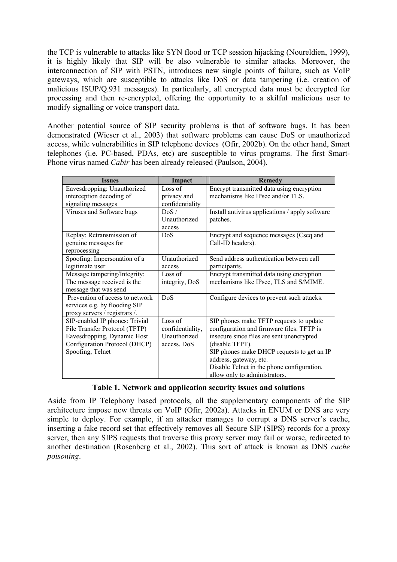the TCP is vulnerable to attacks like SYN flood or TCP session hijacking (Noureldien, 1999), it is highly likely that SIP will be also vulnerable to similar attacks. Moreover, the interconnection of SIP with PSTN, introduces new single points of failure, such as VoIP gateways, which are susceptible to attacks like DoS or data tampering (i.e. creation of malicious ISUP/Q.931 messages). In particularly, all encrypted data must be decrypted for processing and then re-encrypted, offering the opportunity to a skilful malicious user to modify signalling or voice transport data.

Another potential source of SIP security problems is that of software bugs. It has been demonstrated (Wieser et al., 2003) that software problems can cause DoS or unauthorized access, while vulnerabilities in SIP telephone devices (Ofir, 2002b). On the other hand, Smart telephones (i.e. PC-based, PDAs, etc) are susceptible to virus programs. The first Smart-Phone virus named *Cabir* has been already released (Paulson, 2004).

| <b>Issues</b>                                                                                                                                       | Impact                                                     | <b>Remedy</b>                                                                                                                                                                                                                                                                                               |
|-----------------------------------------------------------------------------------------------------------------------------------------------------|------------------------------------------------------------|-------------------------------------------------------------------------------------------------------------------------------------------------------------------------------------------------------------------------------------------------------------------------------------------------------------|
| Eavesdropping: Unauthorized<br>interception decoding of<br>signaling messages                                                                       | Loss of<br>privacy and<br>confidentiality                  | Encrypt transmitted data using encryption<br>mechanisms like IPsec and/or TLS.                                                                                                                                                                                                                              |
| Viruses and Software bugs                                                                                                                           | DoS /<br>Unauthorized<br>access                            | Install antivirus applications / apply software<br>patches.                                                                                                                                                                                                                                                 |
| Replay: Retransmission of<br>genuine messages for<br>reprocessing                                                                                   | DoS                                                        | Encrypt and sequence messages (Cseq and<br>Call-ID headers).                                                                                                                                                                                                                                                |
| Spoofing: Impersonation of a<br>legitimate user                                                                                                     | Unauthorized<br>access                                     | Send address authentication between call<br>participants.                                                                                                                                                                                                                                                   |
| Message tampering/Integrity:<br>The message received is the<br>message that was send                                                                | Loss of<br>integrity, DoS                                  | Encrypt transmitted data using encryption<br>mechanisms like IPsec, TLS and S/MIME.                                                                                                                                                                                                                         |
| Prevention of access to network<br>services e.g. by flooding SIP<br>proxy servers / registrars /.                                                   | DoS                                                        | Configure devices to prevent such attacks.                                                                                                                                                                                                                                                                  |
| SIP-enabled IP phones: Trivial<br>File Transfer Protocol (TFTP)<br>Eavesdropping, Dynamic Host<br>Configuration Protocol (DHCP)<br>Spoofing, Telnet | Loss of<br>confidentiality,<br>Unauthorized<br>access, DoS | SIP phones make TFTP requests to update<br>configuration and firmware files. TFTP is<br>insecure since files are sent unencrypted<br>(disable TFPT).<br>SIP phones make DHCP requests to get an IP<br>address, gateway, etc.<br>Disable Telnet in the phone configuration,<br>allow only to administrators. |

### **Table 1. Network and application security issues and solutions**

Aside from IP Telephony based protocols, all the supplementary components of the SIP architecture impose new threats on VoIP (Ofir, 2002a). Attacks in ENUM or DNS are very simple to deploy. For example, if an attacker manages to corrupt a DNS server's cache, inserting a fake record set that effectively removes all Secure SIP (SIPS) records for a proxy server, then any SIPS requests that traverse this proxy server may fail or worse, redirected to another destination (Rosenberg et al., 2002). This sort of attack is known as DNS *cache poisoning*.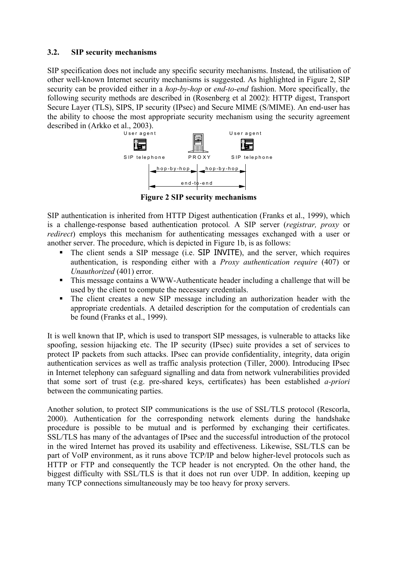### **3.2. SIP security mechanisms**

SIP specification does not include any specific security mechanisms. Instead, the utilisation of other well-known Internet security mechanisms is suggested. As highlighted in Figure 2, SIP security can be provided either in a *hop-by-hop* or *end-to-end* fashion. More specifically, the following security methods are described in (Rosenberg et al 2002): HTTP digest, Transport Secure Layer (TLS), SIPS, IP security (IPsec) and Secure MIME (S/MIME). An end-user has the ability to choose the most appropriate security mechanism using the security agreement described in (Arkko et al., 2003).



**Figure 2 SIP security mechanisms** 

SIP authentication is inherited from HTTP Digest authentication (Franks et al., 1999), which is a challenge-response based authentication protocol*.* A SIP server (*registrar, proxy* or *redirect*) employs this mechanism for authenticating messages exchanged with a user or another server. The procedure, which is depicted in Figure 1b, is as follows:

- The client sends a SIP message (i.e. SIP INVITE), and the server, which requires authentication, is responding either with a *Proxy authentication require* (407) or *Unauthorized* (401) error.
- This message contains a WWW-Authenticate header including a challenge that will be used by the client to compute the necessary credentials.
- The client creates a new SIP message including an authorization header with the appropriate credentials. A detailed description for the computation of credentials can be found (Franks et al., 1999).

It is well known that IP, which is used to transport SIP messages, is vulnerable to attacks like spoofing, session hijacking etc. The IP security (IPsec) suite provides a set of services to protect IP packets from such attacks. IPsec can provide confidentiality, integrity, data origin authentication services as well as traffic analysis protection (Tiller, 2000). Introducing IPsec in Internet telephony can safeguard signalling and data from network vulnerabilities provided that some sort of trust (e.g. pre-shared keys, certificates) has been established *a-priori* between the communicating parties.

Another solution, to protect SIP communications is the use of SSL/TLS protocol (Rescorla, 2000). Authentication for the corresponding network elements during the handshake procedure is possible to be mutual and is performed by exchanging their certificates. SSL/TLS has many of the advantages of IPsec and the successful introduction of the protocol in the wired Internet has proved its usability and effectiveness. Likewise, SSL/TLS can be part of VoIP environment, as it runs above TCP/IP and below higher-level protocols such as HTTP or FTP and consequently the TCP header is not encrypted. On the other hand, the biggest difficulty with SSL/TLS is that it does not run over UDP. In addition, keeping up many TCP connections simultaneously may be too heavy for proxy servers.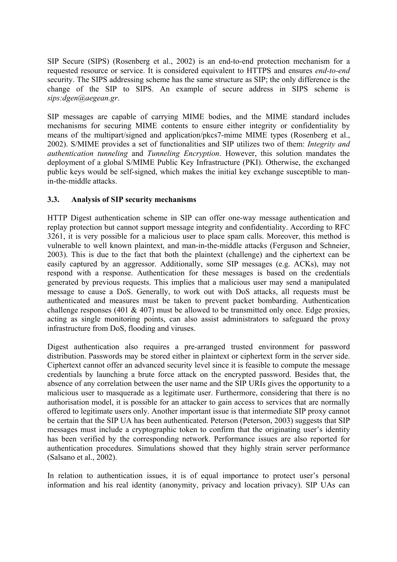SIP Secure (SIPS) (Rosenberg et al., 2002) is an end-to-end protection mechanism for a requested resource or service. It is considered equivalent to HTTPS and ensures *end-to-end* security. The SIPS addressing scheme has the same structure as SIP; the only difference is the change of the SIP to SIPS. An example of secure address in SIPS scheme is *sips:dgen@aegean.gr*.

SIP messages are capable of carrying MIME bodies, and the MIME standard includes mechanisms for securing MIME contents to ensure either integrity or confidentiality by means of the multipart/signed and application/pkcs7-mime MIME types (Rosenberg et al., 2002). S/MIME provides a set of functionalities and SIP utilizes two of them: *Integrity and authentication tunneling* and *Tunneling Encryption*. However, this solution mandates the deployment of a global S/MIME Public Key Infrastructure (PKI). Otherwise, the exchanged public keys would be self-signed, which makes the initial key exchange susceptible to manin-the-middle attacks.

### **3.3. Analysis of SIP security mechanisms**

HTTP Digest authentication scheme in SIP can offer one-way message authentication and replay protection but cannot support message integrity and confidentiality. According to RFC 3261, it is very possible for a malicious user to place spam calls. Moreover, this method is vulnerable to well known plaintext, and man-in-the-middle attacks (Ferguson and Schneier, 2003). This is due to the fact that both the plaintext (challenge) and the ciphertext can be easily captured by an aggressor. Additionally, some SIP messages (e.g. ACKs), may not respond with a response. Authentication for these messages is based on the credentials generated by previous requests. This implies that a malicious user may send a manipulated message to cause a DoS. Generally, to work out with DoS attacks, all requests must be authenticated and measures must be taken to prevent packet bombarding. Authentication challenge responses (401  $\&$  407) must be allowed to be transmitted only once. Edge proxies, acting as single monitoring points, can also assist administrators to safeguard the proxy infrastructure from DoS, flooding and viruses.

Digest authentication also requires a pre-arranged trusted environment for password distribution. Passwords may be stored either in plaintext or ciphertext form in the server side. Ciphertext cannot offer an advanced security level since it is feasible to compute the message credentials by launching a brute force attack on the encrypted password. Besides that, the absence of any correlation between the user name and the SIP URIs gives the opportunity to a malicious user to masquerade as a legitimate user. Furthermore, considering that there is no authorisation model, it is possible for an attacker to gain access to services that are normally offered to legitimate users only. Another important issue is that intermediate SIP proxy cannot be certain that the SIP UA has been authenticated. Peterson (Peterson, 2003) suggests that SIP messages must include a cryptographic token to confirm that the originating user's identity has been verified by the corresponding network. Performance issues are also reported for authentication procedures. Simulations showed that they highly strain server performance (Salsano et al., 2002).

In relation to authentication issues, it is of equal importance to protect user's personal information and his real identity (anonymity, privacy and location privacy). SIP UAs can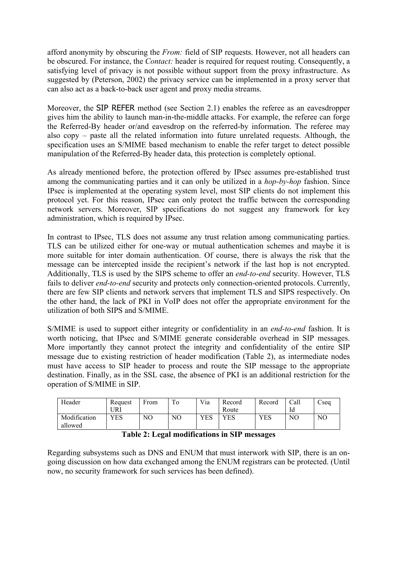afford anonymity by obscuring the *From:* field of SIP requests. However, not all headers can be obscured. For instance, the *Contact:* header is required for request routing. Consequently, a satisfying level of privacy is not possible without support from the proxy infrastructure. As suggested by (Peterson, 2002) the privacy service can be implemented in a proxy server that can also act as a back-to-back user agent and proxy media streams.

Moreover, the SIP REFER method (see Section 2.1) enables the referee as an eavesdropper gives him the ability to launch man-in-the-middle attacks. For example, the referee can forge the Referred-By header or/and eavesdrop on the referred-by information. The referee may also copy – paste all the related information into future unrelated requests. Although, the specification uses an S/MIME based mechanism to enable the refer target to detect possible manipulation of the Referred-By header data, this protection is completely optional.

As already mentioned before, the protection offered by IPsec assumes pre-established trust among the communicating parties and it can only be utilized in a *hop-by-hop* fashion. Since IPsec is implemented at the operating system level, most SIP clients do not implement this protocol yet. For this reason, IPsec can only protect the traffic between the corresponding network servers. Moreover, SIP specifications do not suggest any framework for key administration, which is required by IPsec.

In contrast to IPsec, TLS does not assume any trust relation among communicating parties. TLS can be utilized either for one-way or mutual authentication schemes and maybe it is more suitable for inter domain authentication. Of course, there is always the risk that the message can be intercepted inside the recipient's network if the last hop is not encrypted. Additionally, TLS is used by the SIPS scheme to offer an *end-to-end* security. However, TLS fails to deliver *end-to-end* security and protects only connection-oriented protocols. Currently, there are few SIP clients and network servers that implement TLS and SIPS respectively. On the other hand, the lack of PKI in VoIP does not offer the appropriate environment for the utilization of both SIPS and S/MIME.

S/MIME is used to support either integrity or confidentiality in an *end-to-end* fashion. It is worth noticing, that IPsec and S/MIME generate considerable overhead in SIP messages. More importantly they cannot protect the integrity and confidentiality of the entire SIP message due to existing restriction of header modification (Table 2), as intermediate nodes must have access to SIP header to process and route the SIP message to the appropriate destination. Finally, as in the SSL case, the absence of PKI is an additional restriction for the operation of S/MIME in SIP.

| Header                  | Request<br>URI | From | To  | Via        | Record<br>Route | Record | Call<br>Id | Cseq |
|-------------------------|----------------|------|-----|------------|-----------------|--------|------------|------|
| Modification<br>allowed | YES            | NO.  | NO. | <b>YES</b> | YES             | YES    | NO         | NC   |

|  | Table 2: Legal modifications in SIP messages |  |
|--|----------------------------------------------|--|
|--|----------------------------------------------|--|

Regarding subsystems such as DNS and ENUM that must interwork with SIP, there is an ongoing discussion on how data exchanged among the ENUM registrars can be protected. (Until now, no security framework for such services has been defined).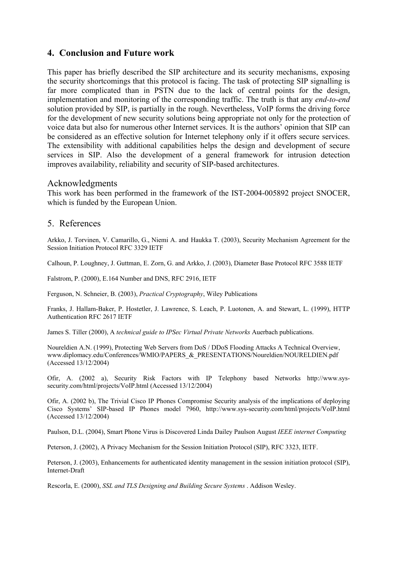## **4. Conclusion and Future work**

This paper has briefly described the SIP architecture and its security mechanisms, exposing the security shortcomings that this protocol is facing. The task of protecting SIP signalling is far more complicated than in PSTN due to the lack of central points for the design, implementation and monitoring of the corresponding traffic. The truth is that any *end-to-end* solution provided by SIP, is partially in the rough. Nevertheless, VoIP forms the driving force for the development of new security solutions being appropriate not only for the protection of voice data but also for numerous other Internet services. It is the authors' opinion that SIP can be considered as an effective solution for Internet telephony only if it offers secure services. The extensibility with additional capabilities helps the design and development of secure services in SIP. Also the development of a general framework for intrusion detection improves availability, reliability and security of SIP-based architectures.

### Acknowledgments

This work has been performed in the framework of the IST-2004-005892 project SNOCER, which is funded by the European Union.

#### 5. References

Arkko, J. Torvinen, V. Camarillo, G., Niemi A. and Haukka T. (2003), Security Mechanism Agreement for the Session Initiation Protocol RFC 3329 IETF

Calhoun, P. Loughney, J. Guttman, E. Zorn, G. and Arkko, J. (2003), Diameter Base Protocol RFC 3588 IETF

Falstrom, P. (2000), E.164 Number and DNS, RFC 2916, IETF

Ferguson, N. Schneier, B. (2003), *Practical Cryptography*, Wiley Publications

Franks, J. Hallam-Baker, P. Hostetler, J. Lawrence, S. Leach, P. Luotonen, A. and Stewart, L. (1999), HTTP Authentication RFC 2617 IETF

James S. Tiller (2000), A *technical guide to IPSec Virtual Private Networks* Auerbach publications.

Noureldien A.N. (1999), Protecting Web Servers from DoS / DDoS Flooding Attacks A Technical Overview, www.diplomacy.edu/Conferences/WMIO/PAPERS & PRESENTATIONS/Noureldien/NOURELDIEN.pdf (Accessed 13/12/2004)

Ofir, A. (2002 a), Security Risk Factors with IP Telephony based Networks http://www.syssecurity.com/html/projects/VoIP.html (Accessed 13/12/2004)

Ofir, A. (2002 b), The Trivial Cisco IP Phones Compromise Security analysis of the implications of deploying Cisco Systems' SIP-based IP Phones model 7960, http://www.sys-security.com/html/projects/VoIP.html (Accessed 13/12/2004)

Paulson, D.L. (2004), Smart Phone Virus is Discovered Linda Dailey Paulson August *IEEE internet Computing* 

Peterson, J. (2002), A Privacy Mechanism for the Session Initiation Protocol (SIP), RFC 3323, IETF.

Peterson, J. (2003), Enhancements for authenticated identity management in the session initiation protocol (SIP), Internet-Draft

Rescorla, E. (2000), *SSL and TLS Designing and Building Secure Systems* . Addison Wesley.